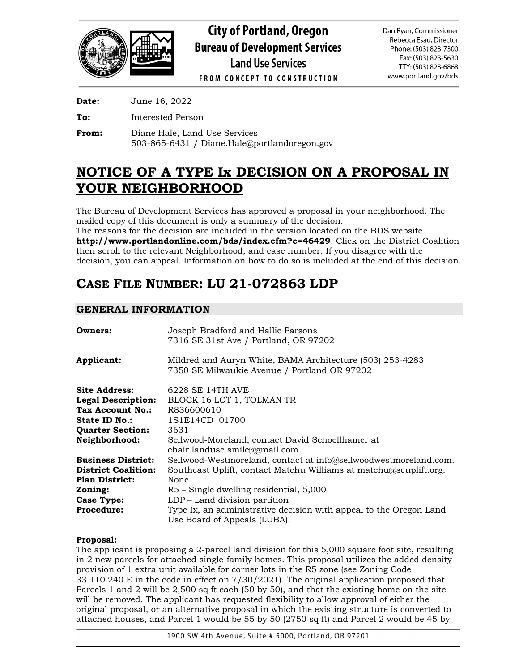

**Date:** June 16, 2022

**To:** Interested Person

**From:** Diane Hale, Land Use Services 503-865-6431 / Diane.Hale@portlandoregon.gov

# **NOTICE OF A TYPE Ix DECISION ON A PROPOSAL IN YOUR NEIGHBORHOOD**

The Bureau of Development Services has approved a proposal in your neighborhood. The mailed copy of this document is only a summary of the decision.

The reasons for the decision are included in the version located on the BDS website **<http://www.portlandonline.com/bds/index.cfm?c=46429>**. Click on the District Coalition then scroll to the relevant Neighborhood, and case number. If you disagree with the decision, you can appeal. Information on how to do so is included at the end of this decision.

# **CASE FILE NUMBER: LU 21-072863 LDP**

# **GENERAL INFORMATION**

| <b>Owners:</b>            | Joseph Bradford and Hallie Parsons<br>7316 SE 31st Ave / Portland, OR 97202                               |  |  |  |
|---------------------------|-----------------------------------------------------------------------------------------------------------|--|--|--|
| Applicant:                | Mildred and Auryn White, BAMA Architecture (503) 253-4283<br>7350 SE Milwaukie Avenue / Portland OR 97202 |  |  |  |
| Site Address:             | 6228 SE 14TH AVE                                                                                          |  |  |  |
| <b>Legal Description:</b> | BLOCK 16 LOT 1, TOLMAN TR                                                                                 |  |  |  |
| Tax Account No.:          | R836600610                                                                                                |  |  |  |
| <b>State ID No.:</b>      | 1S1E14CD 01700                                                                                            |  |  |  |
| <b>Quarter Section:</b>   | 3631                                                                                                      |  |  |  |
| <b>Neighborhood:</b>      | Sellwood-Moreland, contact David Schoellhamer at                                                          |  |  |  |
|                           | chain.landuse.smile@gmail.com                                                                             |  |  |  |
| <b>Business District:</b> | Sellwood-Westmoreland, contact at info@sellwoodwestmoreland.com.                                          |  |  |  |
| District Coalition:       | Southeast Uplift, contact Matchu Williams at matchu@seuplift.org.                                         |  |  |  |
| Plan District:            | None                                                                                                      |  |  |  |
| Zoning:                   | R5 – Single dwelling residential, 5,000                                                                   |  |  |  |
| Case Type:                | LDP - Land division partition                                                                             |  |  |  |
| <b>Procedure:</b>         | Type Ix, an administrative decision with appeal to the Oregon Land                                        |  |  |  |
|                           | Use Board of Appeals (LUBA).                                                                              |  |  |  |

# **Proposal:**

The applicant is proposing a 2-parcel land division for this 5,000 square foot site, resulting in 2 new parcels for attached single-family homes. This proposal utilizes the added density provision of 1 extra unit available for corner lots in the R5 zone (see Zoning Code 33.110.240.E in the code in effect on 7/30/2021). The original application proposed that Parcels 1 and 2 will be 2,500 sq ft each (50 by 50), and that the existing home on the site will be removed. The applicant has requested flexibility to allow approval of either the original proposal, or an alternative proposal in which the existing structure is converted to attached houses, and Parcel 1 would be 55 by 50 (2750 sq ft) and Parcel 2 would be 45 by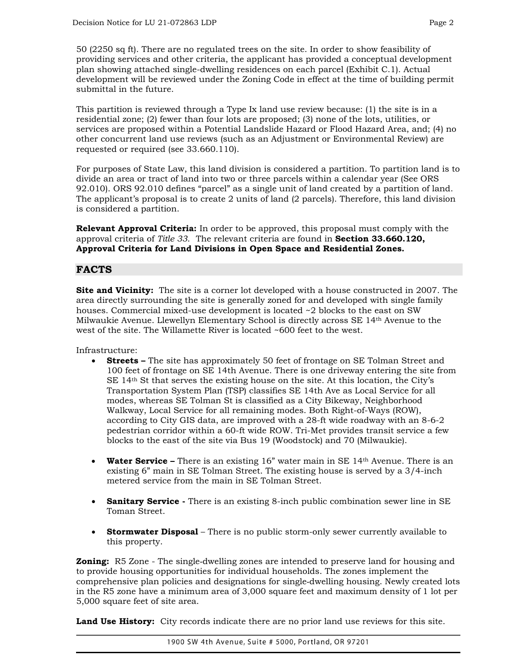50 (2250 sq ft). There are no regulated trees on the site. In order to show feasibility of providing services and other criteria, the applicant has provided a conceptual development plan showing attached single-dwelling residences on each parcel (Exhibit C.1). Actual development will be reviewed under the Zoning Code in effect at the time of building permit submittal in the future.

This partition is reviewed through a Type Ix land use review because: (1) the site is in a residential zone; (2) fewer than four lots are proposed; (3) none of the lots, utilities, or services are proposed within a Potential Landslide Hazard or Flood Hazard Area, and; (4) no other concurrent land use reviews (such as an Adjustment or Environmental Review) are requested or required (see 33.660.110).

For purposes of State Law, this land division is considered a partition. To partition land is to divide an area or tract of land into two or three parcels within a calendar year (See ORS 92.010). ORS 92.010 defines "parcel" as a single unit of land created by a partition of land. The applicant's proposal is to create 2 units of land (2 parcels). Therefore, this land division is considered a partition.

**Relevant Approval Criteria:** In order to be approved, this proposal must comply with the approval criteria of *Title 33*.The relevant criteria are found in **Section 33.660.120, Approval Criteria for Land Divisions in Open Space and Residential Zones.**

# **FACTS**

**Site and Vicinity:** The site is a corner lot developed with a house constructed in 2007. The area directly surrounding the site is generally zoned for and developed with single family houses. Commercial mixed-use development is located ~2 blocks to the east on SW Milwaukie Avenue. Llewellyn Elementary School is directly across SE 14th Avenue to the west of the site. The Willamette River is located ~600 feet to the west.

Infrastructure:

- **Streets** The site has approximately 50 feet of frontage on SE Tolman Street and 100 feet of frontage on SE 14th Avenue. There is one driveway entering the site from  $SE$  14<sup>th</sup> St that serves the existing house on the site. At this location, the City's Transportation System Plan (TSP) classifies SE 14th Ave as Local Service for all modes, whereas SE Tolman St is classified as a City Bikeway, Neighborhood Walkway, Local Service for all remaining modes. Both Right-of-Ways (ROW), according to City GIS data, are improved with a 28-ft wide roadway with an 8-6-2 pedestrian corridor within a 60-ft wide ROW. Tri-Met provides transit service a few blocks to the east of the site via Bus 19 (Woodstock) and 70 (Milwaukie).
- **Water Service** There is an existing 16" water main in SE 14th Avenue. There is an existing 6" main in SE Tolman Street. The existing house is served by a 3/4-inch metered service from the main in SE Tolman Street.
- **Sanitary Service -** There is an existing 8-inch public combination sewer line in SE Toman Street.
- **Stormwater Disposal** There is no public storm-only sewer currently available to this property.

**Zoning:** R5 Zone - The single-dwelling zones are intended to preserve land for housing and to provide housing opportunities for individual households. The zones implement the comprehensive plan policies and designations for single‐dwelling housing. Newly created lots in the R5 zone have a minimum area of 3,000 square feet and maximum density of 1 lot per 5,000 square feet of site area.

Land Use History: City records indicate there are no prior land use reviews for this site.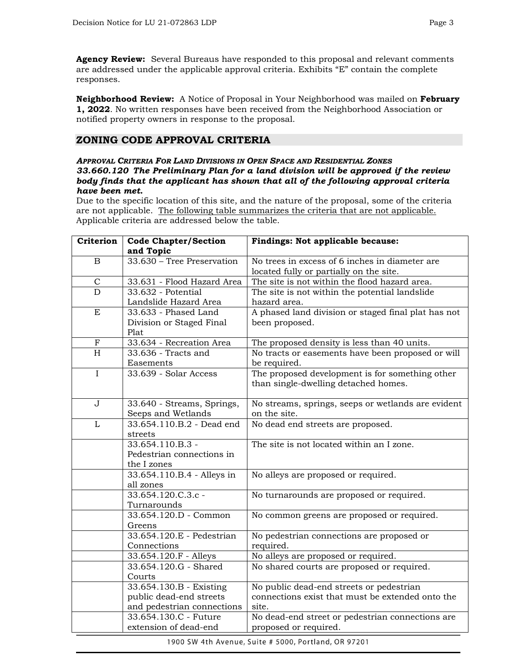**Agency Review:** Several Bureaus have responded to this proposal and relevant comments are addressed under the applicable approval criteria. Exhibits "E" contain the complete responses.

**Neighborhood Review:** A Notice of Proposal in Your Neighborhood was mailed on **February 1, 2022**. No written responses have been received from the Neighborhood Association or notified property owners in response to the proposal.

# **ZONING CODE APPROVAL CRITERIA**

#### *APPROVAL CRITERIA FOR LAND DIVISIONS IN OPEN SPACE AND RESIDENTIAL ZONES 33.660.120 The Preliminary Plan for a land division will be approved if the review body finds that the applicant has shown that all of the following approval criteria have been met.*

Due to the specific location of this site, and the nature of the proposal, some of the criteria are not applicable. The following table summarizes the criteria that are not applicable. Applicable criteria are addressed below the table.

| Criterion    | <b>Code Chapter/Section</b> | Findings: Not applicable because:                   |  |  |  |
|--------------|-----------------------------|-----------------------------------------------------|--|--|--|
|              | and Topic                   |                                                     |  |  |  |
| $\mathbf B$  | 33.630 - Tree Preservation  | No trees in excess of 6 inches in diameter are      |  |  |  |
|              |                             | located fully or partially on the site.             |  |  |  |
| $\mathsf{C}$ | 33.631 - Flood Hazard Area  | The site is not within the flood hazard area.       |  |  |  |
| D            | 33.632 - Potential          | The site is not within the potential landslide      |  |  |  |
|              | Landslide Hazard Area       | hazard area.                                        |  |  |  |
| ${\bf E}$    | 33.633 - Phased Land        | A phased land division or staged final plat has not |  |  |  |
|              | Division or Staged Final    | been proposed.                                      |  |  |  |
|              | Plat                        |                                                     |  |  |  |
| $\mathbf F$  | 33.634 - Recreation Area    | The proposed density is less than 40 units.         |  |  |  |
| H            | 33.636 - Tracts and         | No tracts or easements have been proposed or will   |  |  |  |
|              | Easements                   | be required.                                        |  |  |  |
| $\mathbf I$  | 33.639 - Solar Access       | The proposed development is for something other     |  |  |  |
|              |                             | than single-dwelling detached homes.                |  |  |  |
|              |                             |                                                     |  |  |  |
| $\mathbf J$  | 33.640 - Streams, Springs,  | No streams, springs, seeps or wetlands are evident  |  |  |  |
|              | Seeps and Wetlands          | on the site.                                        |  |  |  |
| $\mathbf{L}$ | 33.654.110.B.2 - Dead end   | No dead end streets are proposed.                   |  |  |  |
|              | streets                     |                                                     |  |  |  |
|              | 33.654.110.B.3 -            | The site is not located within an I zone.           |  |  |  |
|              | Pedestrian connections in   |                                                     |  |  |  |
|              | the I zones                 |                                                     |  |  |  |
|              | 33.654.110.B.4 - Alleys in  | No alleys are proposed or required.                 |  |  |  |
|              | all zones                   |                                                     |  |  |  |
|              | 33.654.120.C.3.c -          | No turnarounds are proposed or required.            |  |  |  |
|              | Turnarounds                 |                                                     |  |  |  |
|              | 33.654.120.D - Common       | No common greens are proposed or required.          |  |  |  |
|              | Greens                      |                                                     |  |  |  |
|              | 33.654.120.E - Pedestrian   | No pedestrian connections are proposed or           |  |  |  |
|              | Connections                 | required.                                           |  |  |  |
|              | 33.654.120.F - Alleys       | No alleys are proposed or required.                 |  |  |  |
|              | 33.654.120.G - Shared       | No shared courts are proposed or required.          |  |  |  |
|              | Courts                      |                                                     |  |  |  |
|              | 33.654.130.B - Existing     | No public dead-end streets or pedestrian            |  |  |  |
|              | public dead-end streets     | connections exist that must be extended onto the    |  |  |  |
|              | and pedestrian connections  | site.                                               |  |  |  |
|              | 33.654.130.C - Future       | No dead-end street or pedestrian connections are    |  |  |  |
|              | extension of dead-end       | proposed or required.                               |  |  |  |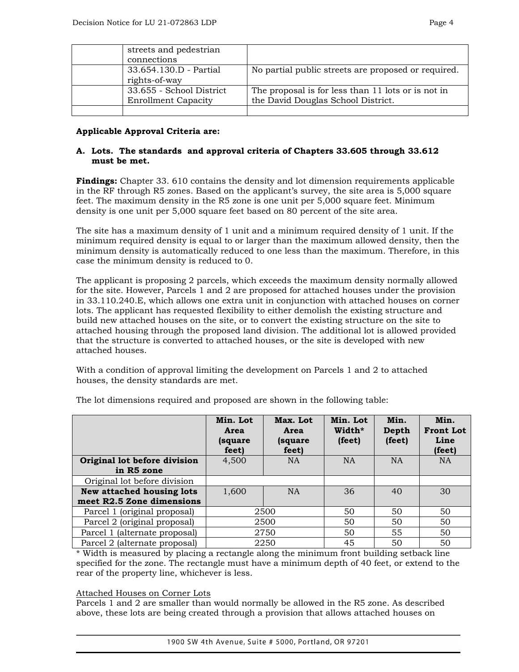| streets and pedestrian<br>connections                  |                                                                                          |
|--------------------------------------------------------|------------------------------------------------------------------------------------------|
| 33.654.130.D - Partial<br>rights-of-way                | No partial public streets are proposed or required.                                      |
| 33.655 - School District<br><b>Enrollment Capacity</b> | The proposal is for less than 11 lots or is not in<br>the David Douglas School District. |

## **Applicable Approval Criteria are:**

## **A. Lots. The standards and approval criteria of Chapters 33.605 through 33.612 must be met.**

**Findings:** Chapter 33. 610 contains the density and lot dimension requirements applicable in the RF through R5 zones. Based on the applicant's survey, the site area is 5,000 square feet. The maximum density in the R5 zone is one unit per 5,000 square feet. Minimum density is one unit per 5,000 square feet based on 80 percent of the site area.

The site has a maximum density of 1 unit and a minimum required density of 1 unit. If the minimum required density is equal to or larger than the maximum allowed density, then the minimum density is automatically reduced to one less than the maximum. Therefore, in this case the minimum density is reduced to 0.

The applicant is proposing 2 parcels, which exceeds the maximum density normally allowed for the site. However, Parcels 1 and 2 are proposed for attached houses under the provision in 33.110.240.E, which allows one extra unit in conjunction with attached houses on corner lots. The applicant has requested flexibility to either demolish the existing structure and build new attached houses on the site, or to convert the existing structure on the site to attached housing through the proposed land division. The additional lot is allowed provided that the structure is converted to attached houses, or the site is developed with new attached houses.

With a condition of approval limiting the development on Parcels 1 and 2 to attached houses, the density standards are met.

|                                            | Min. Lot<br>Area<br>(square<br>feet) | Max. Lot<br>Area<br>(square<br>feet) | Min. Lot<br>Width*<br>(feet) | Min.<br>Depth<br>(feet) | Min.<br><b>Front Lot</b><br>Line<br>(feet) |
|--------------------------------------------|--------------------------------------|--------------------------------------|------------------------------|-------------------------|--------------------------------------------|
| Original lot before division<br>in R5 zone | 4,500                                | <b>NA</b>                            | <b>NA</b>                    | <b>NA</b>               | <b>NA</b>                                  |
| Original lot before division               |                                      |                                      |                              |                         |                                            |
| New attached housing lots                  | 1,600                                | <b>NA</b>                            | 36                           | 40                      | 30                                         |
| meet R2.5 Zone dimensions                  |                                      |                                      |                              |                         |                                            |
| Parcel 1 (original proposal)               | 2500                                 |                                      | 50                           | 50                      | 50                                         |
| Parcel 2 (original proposal)               | 2500                                 |                                      | 50                           | 50                      | 50                                         |
| Parcel 1 (alternate proposal)              |                                      | 2750                                 | 50                           | 55                      | 50                                         |
| Parcel 2 (alternate proposal)              | 2250                                 |                                      | 45                           | 50                      | 50                                         |

The lot dimensions required and proposed are shown in the following table:

\* Width is measured by placing a rectangle along the minimum front building setback line specified for the zone. The rectangle must have a minimum depth of 40 feet, or extend to the rear of the property line, whichever is less.

#### Attached Houses on Corner Lots

Parcels 1 and 2 are smaller than would normally be allowed in the R5 zone. As described above, these lots are being created through a provision that allows attached houses on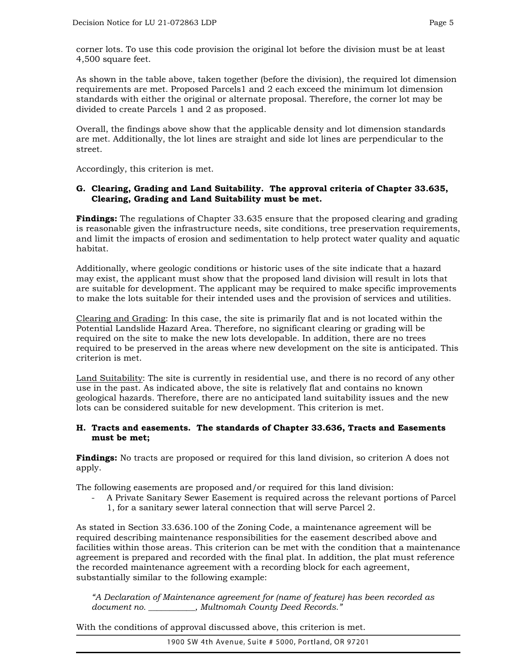corner lots. To use this code provision the original lot before the division must be at least 4,500 square feet.

As shown in the table above, taken together (before the division), the required lot dimension requirements are met. Proposed Parcels1 and 2 each exceed the minimum lot dimension standards with either the original or alternate proposal. Therefore, the corner lot may be divided to create Parcels 1 and 2 as proposed.

Overall, the findings above show that the applicable density and lot dimension standards are met. Additionally, the lot lines are straight and side lot lines are perpendicular to the street.

Accordingly, this criterion is met.

## **G. Clearing, Grading and Land Suitability. The approval criteria of Chapter 33.635, Clearing, Grading and Land Suitability must be met.**

**Findings:** The regulations of Chapter 33.635 ensure that the proposed clearing and grading is reasonable given the infrastructure needs, site conditions, tree preservation requirements, and limit the impacts of erosion and sedimentation to help protect water quality and aquatic habitat.

Additionally, where geologic conditions or historic uses of the site indicate that a hazard may exist, the applicant must show that the proposed land division will result in lots that are suitable for development. The applicant may be required to make specific improvements to make the lots suitable for their intended uses and the provision of services and utilities.

Clearing and Grading: In this case, the site is primarily flat and is not located within the Potential Landslide Hazard Area. Therefore, no significant clearing or grading will be required on the site to make the new lots developable. In addition, there are no trees required to be preserved in the areas where new development on the site is anticipated. This criterion is met.

Land Suitability: The site is currently in residential use, and there is no record of any other use in the past. As indicated above, the site is relatively flat and contains no known geological hazards. Therefore, there are no anticipated land suitability issues and the new lots can be considered suitable for new development. This criterion is met.

#### **H. Tracts and easements. The standards of Chapter 33.636, Tracts and Easements must be met;**

**Findings:** No tracts are proposed or required for this land division, so criterion A does not apply.

The following easements are proposed and/or required for this land division:

- A Private Sanitary Sewer Easement is required across the relevant portions of Parcel
	- 1, for a sanitary sewer lateral connection that will serve Parcel 2.

As stated in Section 33.636.100 of the Zoning Code, a maintenance agreement will be required describing maintenance responsibilities for the easement described above and facilities within those areas. This criterion can be met with the condition that a maintenance agreement is prepared and recorded with the final plat. In addition, the plat must reference the recorded maintenance agreement with a recording block for each agreement, substantially similar to the following example:

*"A Declaration of Maintenance agreement for (name of feature) has been recorded as document no. \_\_\_\_\_\_\_\_\_\_\_, Multnomah County Deed Records."*

With the conditions of approval discussed above, this criterion is met.

1900 SW 4th Avenue, Suite # 5000, Portland, OR 97201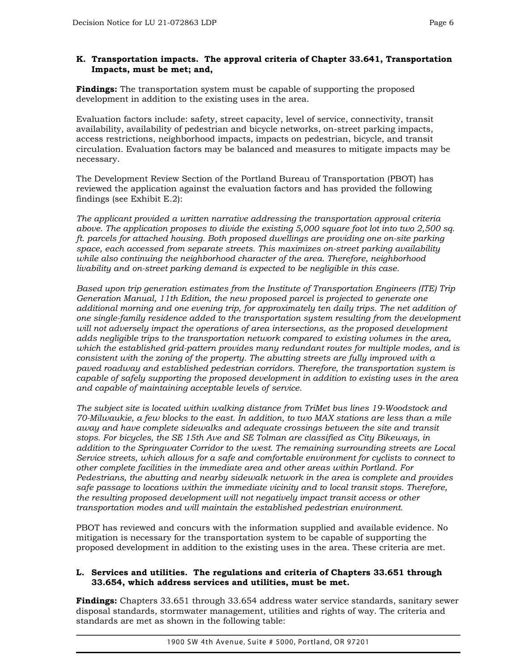## **K. Transportation impacts. The approval criteria of Chapter 33.641, Transportation Impacts, must be met; and,**

**Findings:** The transportation system must be capable of supporting the proposed development in addition to the existing uses in the area.

Evaluation factors include: safety, street capacity, level of service, connectivity, transit availability, availability of pedestrian and bicycle networks, on-street parking impacts, access restrictions, neighborhood impacts, impacts on pedestrian, bicycle, and transit circulation. Evaluation factors may be balanced and measures to mitigate impacts may be necessary.

The Development Review Section of the Portland Bureau of Transportation (PBOT) has reviewed the application against the evaluation factors and has provided the following findings (see Exhibit E.2):

*The applicant provided a written narrative addressing the transportation approval criteria above. The application proposes to divide the existing 5,000 square foot lot into two 2,500 sq. ft. parcels for attached housing. Both proposed dwellings are providing one on-site parking space, each accessed from separate streets. This maximizes on-street parking availability while also continuing the neighborhood character of the area. Therefore, neighborhood livability and on-street parking demand is expected to be negligible in this case.* 

*Based upon trip generation estimates from the Institute of Transportation Engineers (ITE) Trip Generation Manual, 11th Edition, the new proposed parcel is projected to generate one additional morning and one evening trip, for approximately ten daily trips. The net addition of one single-family residence added to the transportation system resulting from the development will not adversely impact the operations of area intersections, as the proposed development adds negligible trips to the transportation network compared to existing volumes in the area, which the established grid-pattern provides many redundant routes for multiple modes, and is consistent with the zoning of the property. The abutting streets are fully improved with a paved roadway and established pedestrian corridors. Therefore, the transportation system is capable of safely supporting the proposed development in addition to existing uses in the area and capable of maintaining acceptable levels of service.* 

*The subject site is located within walking distance from TriMet bus lines 19-Woodstock and 70-Milwaukie, a few blocks to the east. In addition, to two MAX stations are less than a mile away and have complete sidewalks and adequate crossings between the site and transit stops. For bicycles, the SE 15th Ave and SE Tolman are classified as City Bikeways, in addition to the Springwater Corridor to the west. The remaining surrounding streets are Local Service streets, which allows for a safe and comfortable environment for cyclists to connect to other complete facilities in the immediate area and other areas within Portland. For Pedestrians, the abutting and nearby sidewalk network in the area is complete and provides safe passage to locations within the immediate vicinity and to local transit stops. Therefore, the resulting proposed development will not negatively impact transit access or other transportation modes and will maintain the established pedestrian environment.*

PBOT has reviewed and concurs with the information supplied and available evidence. No mitigation is necessary for the transportation system to be capable of supporting the proposed development in addition to the existing uses in the area. These criteria are met.

# **L. Services and utilities. The regulations and criteria of Chapters 33.651 through 33.654, which address services and utilities, must be met.**

**Findings:** Chapters 33.651 through 33.654 address water service standards, sanitary sewer disposal standards, stormwater management, utilities and rights of way. The criteria and standards are met as shown in the following table: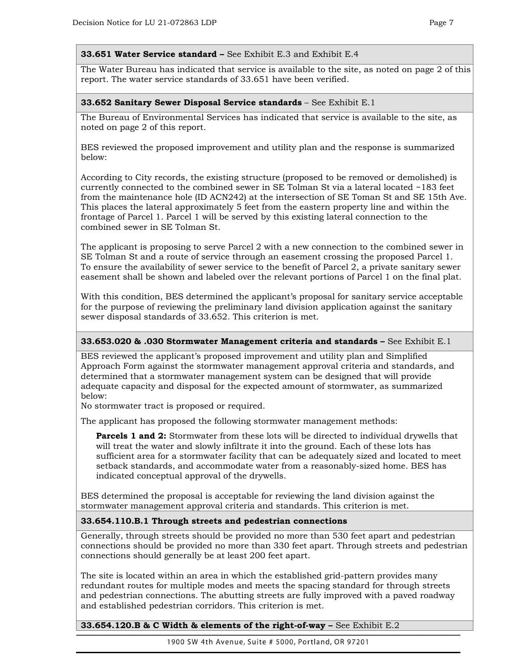#### **33.651 Water Service standard –** See Exhibit E.3 and Exhibit E.4

The Water Bureau has indicated that service is available to the site, as noted on page 2 of this report. The water service standards of 33.651 have been verified.

#### **33.652 Sanitary Sewer Disposal Service standards** – See Exhibit E.1

The Bureau of Environmental Services has indicated that service is available to the site, as noted on page 2 of this report.

BES reviewed the proposed improvement and utility plan and the response is summarized below:

According to City records, the existing structure (proposed to be removed or demolished) is currently connected to the combined sewer in SE Tolman St via a lateral located ~183 feet from the maintenance hole (ID ACN242) at the intersection of SE Toman St and SE 15th Ave. This places the lateral approximately 5 feet from the eastern property line and within the frontage of Parcel 1. Parcel 1 will be served by this existing lateral connection to the combined sewer in SE Tolman St.

The applicant is proposing to serve Parcel 2 with a new connection to the combined sewer in SE Tolman St and a route of service through an easement crossing the proposed Parcel 1. To ensure the availability of sewer service to the benefit of Parcel 2, a private sanitary sewer easement shall be shown and labeled over the relevant portions of Parcel 1 on the final plat.

With this condition, BES determined the applicant's proposal for sanitary service acceptable for the purpose of reviewing the preliminary land division application against the sanitary sewer disposal standards of 33.652. This criterion is met.

#### **33.653.020 & .030 Stormwater Management criteria and standards –** See Exhibit E.1

BES reviewed the applicant's proposed improvement and utility plan and Simplified Approach Form against the stormwater management approval criteria and standards, and determined that a stormwater management system can be designed that will provide adequate capacity and disposal for the expected amount of stormwater, as summarized below:

No stormwater tract is proposed or required.

The applicant has proposed the following stormwater management methods:

**Parcels 1 and 2:** Stormwater from these lots will be directed to individual drywells that will treat the water and slowly infiltrate it into the ground. Each of these lots has sufficient area for a stormwater facility that can be adequately sized and located to meet setback standards, and accommodate water from a reasonably-sized home. BES has indicated conceptual approval of the drywells.

BES determined the proposal is acceptable for reviewing the land division against the stormwater management approval criteria and standards. This criterion is met.

#### **33.654.110.B.1 Through streets and pedestrian connections**

Generally, through streets should be provided no more than 530 feet apart and pedestrian connections should be provided no more than 330 feet apart. Through streets and pedestrian connections should generally be at least 200 feet apart.

The site is located within an area in which the established grid-pattern provides many redundant routes for multiple modes and meets the spacing standard for through streets and pedestrian connections. The abutting streets are fully improved with a paved roadway and established pedestrian corridors. This criterion is met.

**33.654.120.B & C Width & elements of the right-of-way –** See Exhibit E.2

1900 SW 4th Avenue, Suite # 5000, Portland, OR 97201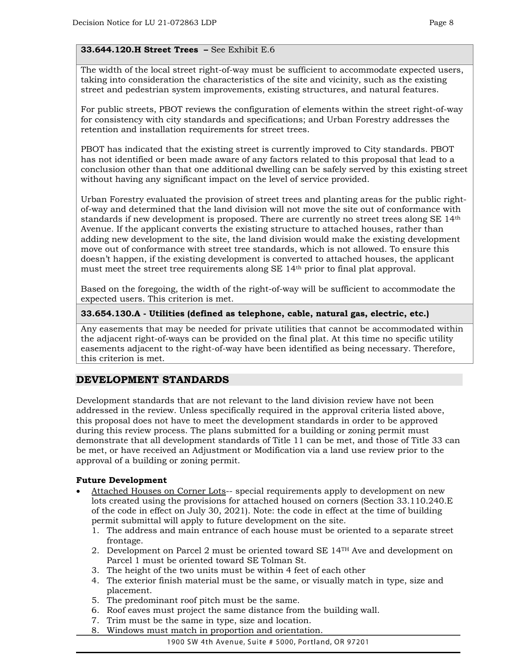# **33.644.120.H Street Trees –** See Exhibit E.6

The width of the local street right-of-way must be sufficient to accommodate expected users, taking into consideration the characteristics of the site and vicinity, such as the existing street and pedestrian system improvements, existing structures, and natural features.

For public streets, PBOT reviews the configuration of elements within the street right-of-way for consistency with city standards and specifications; and Urban Forestry addresses the retention and installation requirements for street trees.

PBOT has indicated that the existing street is currently improved to City standards. PBOT has not identified or been made aware of any factors related to this proposal that lead to a conclusion other than that one additional dwelling can be safely served by this existing street without having any significant impact on the level of service provided.

Urban Forestry evaluated the provision of street trees and planting areas for the public rightof-way and determined that the land division will not move the site out of conformance with standards if new development is proposed. There are currently no street trees along SE 14<sup>th</sup> Avenue. If the applicant converts the existing structure to attached houses, rather than adding new development to the site, the land division would make the existing development move out of conformance with street tree standards, which is not allowed. To ensure this doesn't happen, if the existing development is converted to attached houses, the applicant must meet the street tree requirements along SE 14th prior to final plat approval.

Based on the foregoing, the width of the right-of-way will be sufficient to accommodate the expected users. This criterion is met.

#### **33.654.130.A - Utilities (defined as telephone, cable, natural gas, electric, etc.)**

Any easements that may be needed for private utilities that cannot be accommodated within the adjacent right-of-ways can be provided on the final plat. At this time no specific utility easements adjacent to the right-of-way have been identified as being necessary. Therefore, this criterion is met.

# **DEVELOPMENT STANDARDS**

Development standards that are not relevant to the land division review have not been addressed in the review. Unless specifically required in the approval criteria listed above, this proposal does not have to meet the development standards in order to be approved during this review process. The plans submitted for a building or zoning permit must demonstrate that all development standards of Title 11 can be met, and those of Title 33 can be met, or have received an Adjustment or Modification via a land use review prior to the approval of a building or zoning permit.

#### **Future Development**

- Attached Houses on Corner Lots-- special requirements apply to development on new lots created using the provisions for attached housed on corners (Section 33.110.240.E of the code in effect on July 30, 2021). Note: the code in effect at the time of building permit submittal will apply to future development on the site.
	- 1. The address and main entrance of each house must be oriented to a separate street frontage.
	- 2. Development on Parcel 2 must be oriented toward SE 14TH Ave and development on Parcel 1 must be oriented toward SE Tolman St.
	- 3. The height of the two units must be within 4 feet of each other
	- 4. The exterior finish material must be the same, or visually match in type, size and placement.
	- 5. The predominant roof pitch must be the same.
	- 6. Roof eaves must project the same distance from the building wall.
	- 7. Trim must be the same in type, size and location.
	- 8. Windows must match in proportion and orientation.

1900 SW 4th Avenue, Suite # 5000, Portland, OR 97201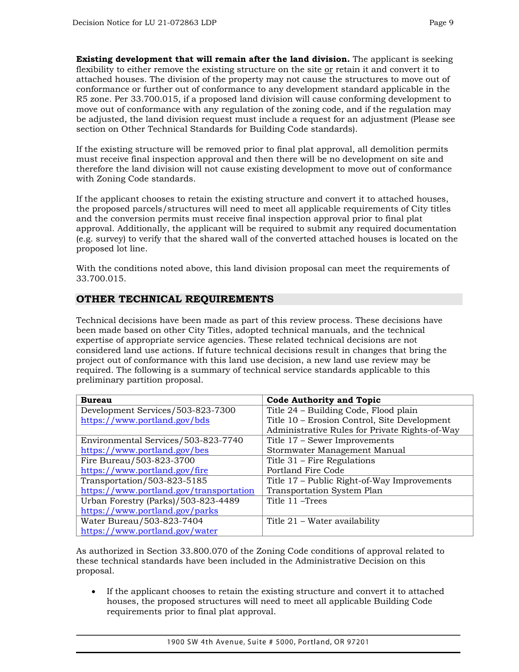**Existing development that will remain after the land division.** The applicant is seeking flexibility to either remove the existing structure on the site or retain it and convert it to attached houses. The division of the property may not cause the structures to move out of conformance or further out of conformance to any development standard applicable in the R5 zone. Per 33.700.015, if a proposed land division will cause conforming development to move out of conformance with any regulation of the zoning code, and if the regulation may be adjusted, the land division request must include a request for an adjustment (Please see section on Other Technical Standards for Building Code standards).

If the existing structure will be removed prior to final plat approval, all demolition permits must receive final inspection approval and then there will be no development on site and therefore the land division will not cause existing development to move out of conformance with Zoning Code standards.

If the applicant chooses to retain the existing structure and convert it to attached houses, the proposed parcels/structures will need to meet all applicable requirements of City titles and the conversion permits must receive final inspection approval prior to final plat approval. Additionally, the applicant will be required to submit any required documentation (e.g. survey) to verify that the shared wall of the converted attached houses is located on the proposed lot line.

With the conditions noted above, this land division proposal can meet the requirements of 33.700.015.

# **OTHER TECHNICAL REQUIREMENTS**

Technical decisions have been made as part of this review process. These decisions have been made based on other City Titles, adopted technical manuals, and the technical expertise of appropriate service agencies. These related technical decisions are not considered land use actions. If future technical decisions result in changes that bring the project out of conformance with this land use decision, a new land use review may be required. The following is a summary of technical service standards applicable to this preliminary partition proposal.

| <b>Bureau</b>                           | <b>Code Authority and Topic</b>                |  |  |
|-----------------------------------------|------------------------------------------------|--|--|
| Development Services/503-823-7300       | Title 24 - Building Code, Flood plain          |  |  |
| https://www.portland.gov/bds            | Title 10 – Erosion Control, Site Development   |  |  |
|                                         | Administrative Rules for Private Rights-of-Way |  |  |
| Environmental Services/503-823-7740     | Title 17 – Sewer Improvements                  |  |  |
| https://www.portland.gov/bes            | Stormwater Management Manual                   |  |  |
| Fire Bureau/503-823-3700                | Title $31$ – Fire Regulations                  |  |  |
| https://www.portland.gov/fire           | Portland Fire Code                             |  |  |
| Transportation/503-823-5185             | Title 17 – Public Right-of-Way Improvements    |  |  |
| https://www.portland.gov/transportation | Transportation System Plan                     |  |  |
| Urban Forestry (Parks)/503-823-4489     | Title 11 – Trees                               |  |  |
| https://www.portland.gov/parks          |                                                |  |  |
| Water Bureau/503-823-7404               | Title 21 – Water availability                  |  |  |
| https://www.portland.gov/water          |                                                |  |  |

As authorized in Section 33.800.070 of the Zoning Code conditions of approval related to these technical standards have been included in the Administrative Decision on this proposal.

• If the applicant chooses to retain the existing structure and convert it to attached houses, the proposed structures will need to meet all applicable Building Code requirements prior to final plat approval.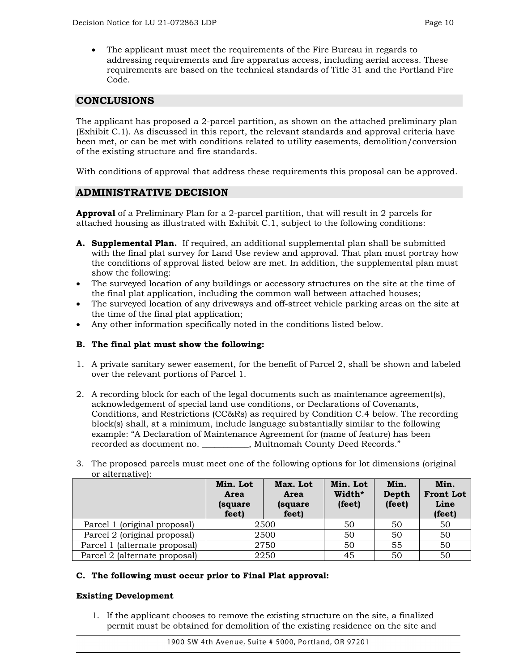• The applicant must meet the requirements of the Fire Bureau in regards to addressing requirements and fire apparatus access, including aerial access. These requirements are based on the technical standards of Title 31 and the Portland Fire Code.

# **CONCLUSIONS**

The applicant has proposed a 2-parcel partition, as shown on the attached preliminary plan (Exhibit C.1). As discussed in this report, the relevant standards and approval criteria have been met, or can be met with conditions related to utility easements, demolition/conversion of the existing structure and fire standards.

With conditions of approval that address these requirements this proposal can be approved.

# **ADMINISTRATIVE DECISION**

**Approval** of a Preliminary Plan for a 2-parcel partition, that will result in 2 parcels for attached housing as illustrated with Exhibit C.1, subject to the following conditions:

- **A. Supplemental Plan.** If required, an additional supplemental plan shall be submitted with the final plat survey for Land Use review and approval. That plan must portray how the conditions of approval listed below are met. In addition, the supplemental plan must show the following:
- The surveyed location of any buildings or accessory structures on the site at the time of the final plat application, including the common wall between attached houses;
- The surveyed location of any driveways and off-street vehicle parking areas on the site at the time of the final plat application;
- Any other information specifically noted in the conditions listed below.

# **B. The final plat must show the following:**

- 1. A private sanitary sewer easement, for the benefit of Parcel 2, shall be shown and labeled over the relevant portions of Parcel 1.
- 2. A recording block for each of the legal documents such as maintenance agreement(s), acknowledgement of special land use conditions, or Declarations of Covenants, Conditions, and Restrictions (CC&Rs) as required by Condition C.4 below. The recording block(s) shall, at a minimum, include language substantially similar to the following example: "A Declaration of Maintenance Agreement for (name of feature) has been recorded as document no. \_\_\_\_\_\_\_\_\_\_\_, Multnomah County Deed Records."
- 3. The proposed parcels must meet one of the following options for lot dimensions (original or alternative):

|                               | Min. Lot<br>Area<br>(square)<br>feet) | Max. Lot<br>Area<br>(square)<br>feet) | Min. Lot<br>Width*<br>(feet) | Min.<br>Depth<br>(feet) | Min.<br><b>Front Lot</b><br>Line<br>(feet) |
|-------------------------------|---------------------------------------|---------------------------------------|------------------------------|-------------------------|--------------------------------------------|
| Parcel 1 (original proposal)  | 2500                                  |                                       | 50                           | 50                      | 50                                         |
| Parcel 2 (original proposal)  |                                       | 2500                                  | 50                           | 50                      | 50                                         |
| Parcel 1 (alternate proposal) |                                       | 2750                                  | 50                           | 55                      | 50                                         |
| Parcel 2 (alternate proposal) |                                       | 2250                                  | 45                           | 50                      | 50                                         |

#### **C. The following must occur prior to Final Plat approval:**

#### **Existing Development**

1. If the applicant chooses to remove the existing structure on the site, a finalized permit must be obtained for demolition of the existing residence on the site and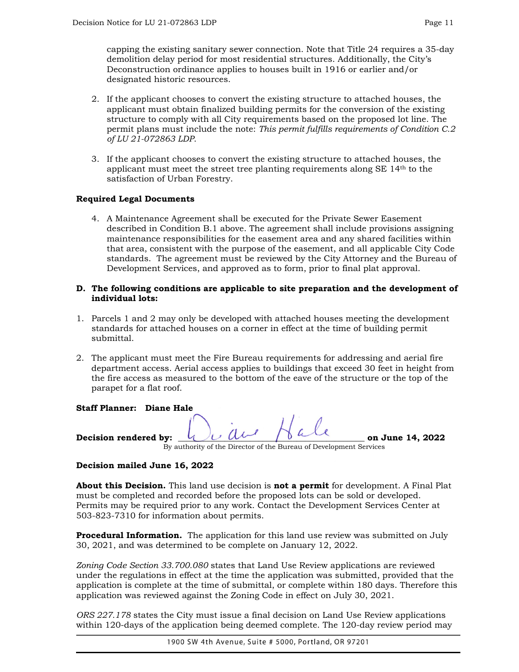capping the existing sanitary sewer connection. Note that Title 24 requires a 35-day demolition delay period for most residential structures. Additionally, the City's Deconstruction ordinance applies to houses built in 1916 or earlier and/or designated historic resources.

- 2. If the applicant chooses to convert the existing structure to attached houses, the applicant must obtain finalized building permits for the conversion of the existing structure to comply with all City requirements based on the proposed lot line. The permit plans must include the note: *This permit fulfills requirements of Condition C.2 of LU 21-072863 LDP*.
- 3. If the applicant chooses to convert the existing structure to attached houses, the applicant must meet the street tree planting requirements along SE 14th to the satisfaction of Urban Forestry.

# **Required Legal Documents**

4. A Maintenance Agreement shall be executed for the Private Sewer Easement described in Condition B.1 above. The agreement shall include provisions assigning maintenance responsibilities for the easement area and any shared facilities within that area, consistent with the purpose of the easement, and all applicable City Code standards. The agreement must be reviewed by the City Attorney and the Bureau of Development Services, and approved as to form, prior to final plat approval.

## **D. The following conditions are applicable to site preparation and the development of individual lots:**

- 1. Parcels 1 and 2 may only be developed with attached houses meeting the development standards for attached houses on a corner in effect at the time of building permit submittal.
- 2. The applicant must meet the Fire Bureau requirements for addressing and aerial fire department access. Aerial access applies to buildings that exceed 30 feet in height from the fire access as measured to the bottom of the eave of the structure or the top of the parapet for a flat roof.

**Staff Planner: Diane Hale**

**Decision rendered by:**  $\sqrt{U} U U$   $\sqrt{U} U U$  on June 14, 2022 By authority of the Director of the Bureau of Development Services

# **Decision mailed June 16, 2022**

**About this Decision.** This land use decision is **not a permit** for development. A Final Plat must be completed and recorded before the proposed lots can be sold or developed. Permits may be required prior to any work. Contact the Development Services Center at 503-823-7310 for information about permits.

**Procedural Information.** The application for this land use review was submitted on July 30, 2021, and was determined to be complete on January 12, 2022.

*Zoning Code Section 33.700.080* states that Land Use Review applications are reviewed under the regulations in effect at the time the application was submitted, provided that the application is complete at the time of submittal, or complete within 180 days. Therefore this application was reviewed against the Zoning Code in effect on July 30, 2021.

*ORS 227.178* states the City must issue a final decision on Land Use Review applications within 120-days of the application being deemed complete. The 120-day review period may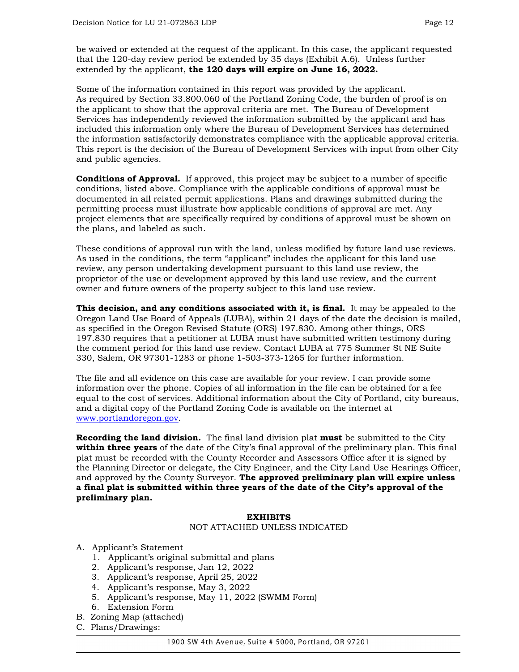be waived or extended at the request of the applicant. In this case, the applicant requested that the 120-day review period be extended by 35 days (Exhibit A.6). Unless further extended by the applicant, **the 120 days will expire on June 16, 2022.**

Some of the information contained in this report was provided by the applicant. As required by Section 33.800.060 of the Portland Zoning Code, the burden of proof is on the applicant to show that the approval criteria are met. The Bureau of Development Services has independently reviewed the information submitted by the applicant and has included this information only where the Bureau of Development Services has determined the information satisfactorily demonstrates compliance with the applicable approval criteria. This report is the decision of the Bureau of Development Services with input from other City and public agencies.

**Conditions of Approval.** If approved, this project may be subject to a number of specific conditions, listed above. Compliance with the applicable conditions of approval must be documented in all related permit applications. Plans and drawings submitted during the permitting process must illustrate how applicable conditions of approval are met. Any project elements that are specifically required by conditions of approval must be shown on the plans, and labeled as such.

These conditions of approval run with the land, unless modified by future land use reviews. As used in the conditions, the term "applicant" includes the applicant for this land use review, any person undertaking development pursuant to this land use review, the proprietor of the use or development approved by this land use review, and the current owner and future owners of the property subject to this land use review.

**This decision, and any conditions associated with it, is final.** It may be appealed to the Oregon Land Use Board of Appeals (LUBA), within 21 days of the date the decision is mailed, as specified in the Oregon Revised Statute (ORS) 197.830. Among other things, ORS 197.830 requires that a petitioner at LUBA must have submitted written testimony during the comment period for this land use review. Contact LUBA at 775 Summer St NE Suite 330, Salem, OR 97301-1283 or phone 1-503-373-1265 for further information.

The file and all evidence on this case are available for your review. I can provide some information over the phone. Copies of all information in the file can be obtained for a fee equal to the cost of services. Additional information about the City of Portland, city bureaus, and a digital copy of the Portland Zoning Code is available on the internet at [www.portlandoregon.gov.](http://www.portlandoregon.gov/)

**Recording the land division.** The final land division plat **must** be submitted to the City **within three years** of the date of the City's final approval of the preliminary plan. This final plat must be recorded with the County Recorder and Assessors Office after it is signed by the Planning Director or delegate, the City Engineer, and the City Land Use Hearings Officer, and approved by the County Surveyor. **The approved preliminary plan will expire unless a final plat is submitted within three years of the date of the City's approval of the preliminary plan.**

#### **EXHIBITS**

#### NOT ATTACHED UNLESS INDICATED

- A. Applicant's Statement
	- 1. Applicant's original submittal and plans
	- 2. Applicant's response, Jan 12, 2022
	- 3. Applicant's response, April 25, 2022
	- 4. Applicant's response, May 3, 2022
	- 5. Applicant's response, May 11, 2022 (SWMM Form)
	- 6. Extension Form
- B. Zoning Map (attached)
- C. Plans/Drawings: